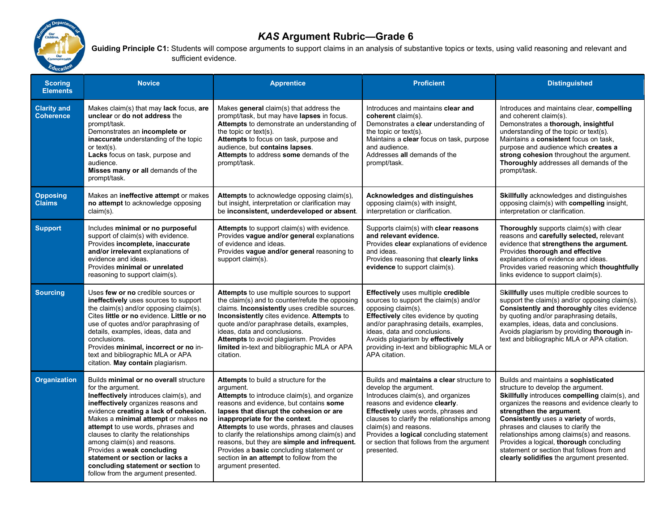

## KAS Argument Rubric—Grade 6

Guiding Principle C1: Students will compose arguments to support claims in an analysis of substantive topics or texts, using valid reasoning and relevant and sufficient evidence.

| <b>Scoring</b><br><b>Elements</b>      | <b>Novice</b>                                                                                                                                                                                                                                                                                                                                                                                                                                                                          | <b>Apprentice</b>                                                                                                                                                                                                                                                                                                                                                                                                                                                                                 | <b>Proficient</b>                                                                                                                                                                                                                                                                                                                                             | <b>Distinguished</b>                                                                                                                                                                                                                                                                                                                                                                                                                                                          |
|----------------------------------------|----------------------------------------------------------------------------------------------------------------------------------------------------------------------------------------------------------------------------------------------------------------------------------------------------------------------------------------------------------------------------------------------------------------------------------------------------------------------------------------|---------------------------------------------------------------------------------------------------------------------------------------------------------------------------------------------------------------------------------------------------------------------------------------------------------------------------------------------------------------------------------------------------------------------------------------------------------------------------------------------------|---------------------------------------------------------------------------------------------------------------------------------------------------------------------------------------------------------------------------------------------------------------------------------------------------------------------------------------------------------------|-------------------------------------------------------------------------------------------------------------------------------------------------------------------------------------------------------------------------------------------------------------------------------------------------------------------------------------------------------------------------------------------------------------------------------------------------------------------------------|
| <b>Clarity and</b><br><b>Coherence</b> | Makes claim(s) that may lack focus, are<br>unclear or do not address the<br>prompt/task.<br>Demonstrates an incomplete or<br>inaccurate understanding of the topic<br>or text $(s)$ .<br>Lacks focus on task, purpose and<br>audience.<br>Misses many or all demands of the<br>prompt/task.                                                                                                                                                                                            | Makes general claim(s) that address the<br>prompt/task, but may have lapses in focus.<br>Attempts to demonstrate an understanding of<br>the topic or text(s).<br>Attempts to focus on task, purpose and<br>audience, but contains lapses.<br>Attempts to address some demands of the<br>prompt/task.                                                                                                                                                                                              | Introduces and maintains clear and<br>coherent claim(s).<br>Demonstrates a clear understanding of<br>the topic or text(s).<br>Maintains a clear focus on task, purpose<br>and audience.<br>Addresses all demands of the<br>prompt/task.                                                                                                                       | Introduces and maintains clear, compelling<br>and coherent claim(s).<br>Demonstrates a thorough, insightful<br>understanding of the topic or text(s).<br>Maintains a consistent focus on task,<br>purpose and audience which creates a<br>strong cohesion throughout the argument.<br>Thoroughly addresses all demands of the<br>prompt/task.                                                                                                                                 |
| <b>Opposing</b><br><b>Claims</b>       | Makes an ineffective attempt or makes<br>no attempt to acknowledge opposing<br>claim(s).                                                                                                                                                                                                                                                                                                                                                                                               | Attempts to acknowledge opposing claim(s),<br>but insight, interpretation or clarification may<br>be inconsistent, underdeveloped or absent.                                                                                                                                                                                                                                                                                                                                                      | Acknowledges and distinguishes<br>opposing claim(s) with insight,<br>interpretation or clarification.                                                                                                                                                                                                                                                         | Skillfully acknowledges and distinguishes<br>opposing claim(s) with compelling insight,<br>interpretation or clarification.                                                                                                                                                                                                                                                                                                                                                   |
| <b>Support</b>                         | Includes minimal or no purposeful<br>support of claim(s) with evidence.<br>Provides incomplete, inaccurate<br>and/or irrelevant explanations of<br>evidence and ideas.<br>Provides minimal or unrelated<br>reasoning to support claim(s).                                                                                                                                                                                                                                              | Attempts to support claim(s) with evidence.<br>Provides vague and/or general explanations<br>of evidence and ideas.<br>Provides vague and/or general reasoning to<br>support claim(s).                                                                                                                                                                                                                                                                                                            | Supports claim(s) with clear reasons<br>and relevant evidence.<br>Provides clear explanations of evidence<br>and ideas.<br>Provides reasoning that clearly links<br>evidence to support claim(s).                                                                                                                                                             | Thoroughly supports claim(s) with clear<br>reasons and carefully selected, relevant<br>evidence that strengthens the argument.<br>Provides thorough and effective<br>explanations of evidence and ideas.<br>Provides varied reasoning which thoughtfully<br>links evidence to support claim(s).                                                                                                                                                                               |
| <b>Sourcing</b>                        | Uses few or no credible sources or<br>ineffectively uses sources to support<br>the claim(s) and/or opposing claim(s).<br>Cites little or no evidence. Little or no<br>use of quotes and/or paraphrasing of<br>details, examples, ideas, data and<br>conclusions.<br>Provides minimal, incorrect or no in-<br>text and bibliographic MLA or APA<br>citation. May contain plagiarism.                                                                                                    | <b>Attempts</b> to use multiple sources to support<br>the claim(s) and to counter/refute the opposing<br>claims. Inconsistently uses credible sources.<br>Inconsistently cites evidence. Attempts to<br>quote and/or paraphrase details, examples,<br>ideas, data and conclusions.<br>Attempts to avoid plagiarism. Provides<br>limited in-text and bibliographic MLA or APA<br>citation.                                                                                                         | <b>Effectively</b> uses multiple credible<br>sources to support the claim(s) and/or<br>opposing claim(s).<br><b>Effectively</b> cites evidence by quoting<br>and/or paraphrasing details, examples,<br>ideas, data and conclusions.<br>Avoids plagiarism by effectively<br>providing in-text and bibliographic MLA or<br>APA citation.                        | Skillfully uses multiple credible sources to<br>support the claim(s) and/or opposing claim(s).<br>Consistently and thoroughly cites evidence<br>by quoting and/or paraphrasing details,<br>examples, ideas, data and conclusions.<br>Avoids plagiarism by providing thorough in-<br>text and bibliographic MLA or APA citation.                                                                                                                                               |
| <b>Organization</b>                    | Builds minimal or no overall structure<br>for the argument.<br>Ineffectively introduces claim(s), and<br>ineffectively organizes reasons and<br>evidence creating a lack of cohesion.<br>Makes a minimal attempt or makes no<br>attempt to use words, phrases and<br>clauses to clarity the relationships<br>among claim(s) and reasons.<br>Provides a weak concluding<br>statement or section or lacks a<br>concluding statement or section to<br>follow from the argument presented. | Attempts to build a structure for the<br>argument.<br>Attempts to introduce claim(s), and organize<br>reasons and evidence, but contains some<br>lapses that disrupt the cohesion or are<br>inappropriate for the context.<br>Attempts to use words, phrases and clauses<br>to clarify the relationships among claim(s) and<br>reasons, but they are simple and infrequent.<br>Provides a <b>basic</b> concluding statement or<br>section in an attempt to follow from the<br>argument presented. | Builds and maintains a clear structure to<br>develop the argument.<br>Introduces claim(s), and organizes<br>reasons and evidence clearly.<br>Effectively uses words, phrases and<br>clauses to clarify the relationships among<br>claim(s) and reasons.<br>Provides a logical concluding statement<br>or section that follows from the argument<br>presented. | Builds and maintains a sophisticated<br>structure to develop the argument.<br>Skillfully introduces compelling claim(s), and<br>organizes the reasons and evidence clearly to<br>strengthen the argument.<br>Consistently uses a variety of words,<br>phrases and clauses to clarify the<br>relationships among claims(s) and reasons.<br>Provides a logical, thorough concluding<br>statement or section that follows from and<br>clearly solidifies the argument presented. |